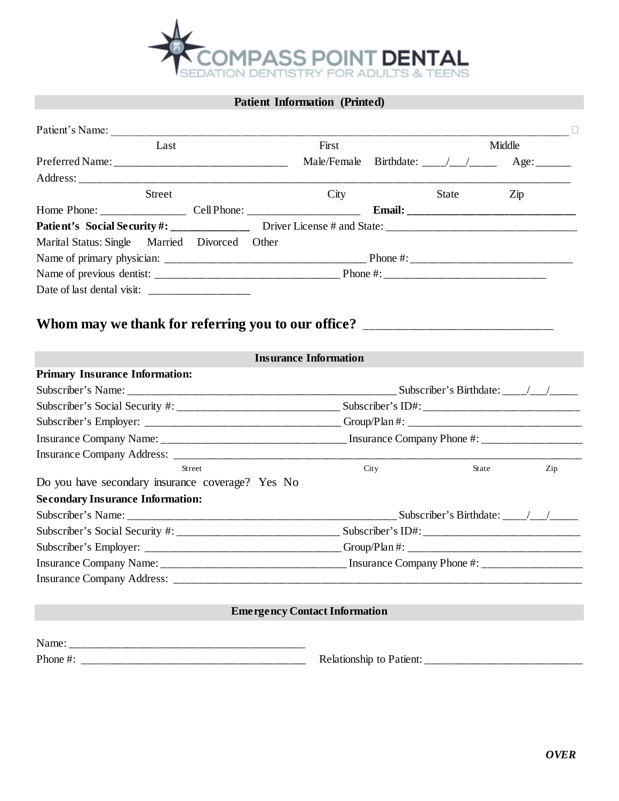

# **Patient Information (Printed)**

| Patient's Name:                                                                  |                                                                                                     |      |       |                                                      |  |  |  |
|----------------------------------------------------------------------------------|-----------------------------------------------------------------------------------------------------|------|-------|------------------------------------------------------|--|--|--|
| Last                                                                             | First<br>Middle                                                                                     |      |       |                                                      |  |  |  |
|                                                                                  |                                                                                                     |      |       | Male/Female Birthdate: ___/__/_________ Age: _______ |  |  |  |
|                                                                                  |                                                                                                     |      |       |                                                      |  |  |  |
| <b>Street</b>                                                                    | City                                                                                                |      | State | $\mathop{\mathrm {Zip}}$                             |  |  |  |
|                                                                                  |                                                                                                     |      |       |                                                      |  |  |  |
|                                                                                  |                                                                                                     |      |       |                                                      |  |  |  |
| Marital Status: Single Married Divorced Other                                    |                                                                                                     |      |       |                                                      |  |  |  |
|                                                                                  |                                                                                                     |      |       |                                                      |  |  |  |
|                                                                                  |                                                                                                     |      |       |                                                      |  |  |  |
|                                                                                  |                                                                                                     |      |       |                                                      |  |  |  |
| Whom may we thank for referring you to our office? _____________________________ | <b>Insurance Information</b>                                                                        |      |       |                                                      |  |  |  |
|                                                                                  |                                                                                                     |      |       |                                                      |  |  |  |
| <b>Primary Insurance Information:</b>                                            |                                                                                                     |      |       |                                                      |  |  |  |
|                                                                                  |                                                                                                     |      |       |                                                      |  |  |  |
|                                                                                  | Subscriber's Employer: __________________________________Group/Plan #: ____________________________ |      |       |                                                      |  |  |  |
|                                                                                  |                                                                                                     |      |       |                                                      |  |  |  |
|                                                                                  |                                                                                                     |      |       |                                                      |  |  |  |
| <b>Street</b>                                                                    |                                                                                                     | City | State | Zip                                                  |  |  |  |
| Do you have secondary insurance coverage? Yes No                                 |                                                                                                     |      |       |                                                      |  |  |  |
| <b>Secondary Insurance Information:</b>                                          |                                                                                                     |      |       |                                                      |  |  |  |
|                                                                                  |                                                                                                     |      |       |                                                      |  |  |  |
|                                                                                  |                                                                                                     |      |       |                                                      |  |  |  |
|                                                                                  | Subscriber's Employer: _________________________________Group/Plan #: _____________________________ |      |       |                                                      |  |  |  |
|                                                                                  |                                                                                                     |      |       |                                                      |  |  |  |
|                                                                                  |                                                                                                     |      |       |                                                      |  |  |  |
|                                                                                  | <b>Emergency Contact Information</b>                                                                |      |       |                                                      |  |  |  |
|                                                                                  |                                                                                                     |      |       |                                                      |  |  |  |
|                                                                                  |                                                                                                     |      |       |                                                      |  |  |  |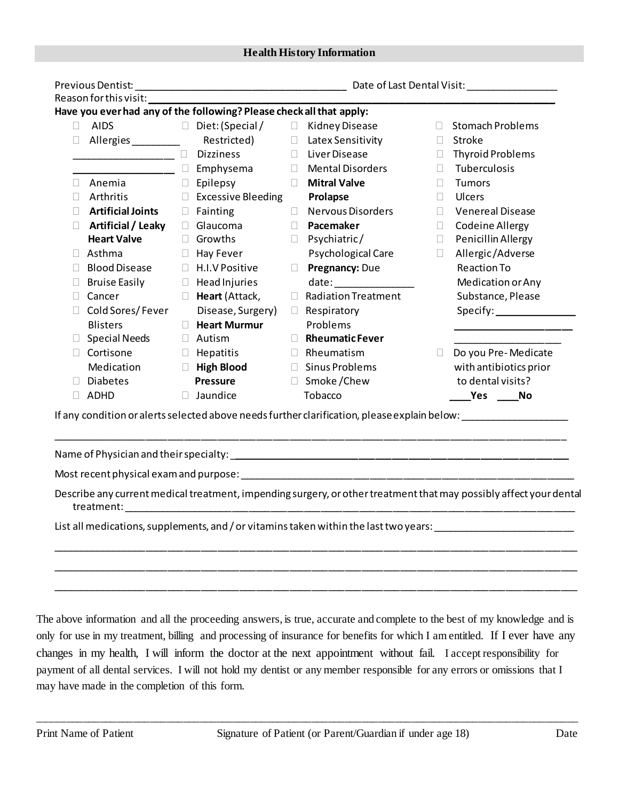|        | Reason for this visit:    |                                                                           |        |                                                                                       |        |                                                                                                                                                                                                                                      |
|--------|---------------------------|---------------------------------------------------------------------------|--------|---------------------------------------------------------------------------------------|--------|--------------------------------------------------------------------------------------------------------------------------------------------------------------------------------------------------------------------------------------|
|        |                           | Have you ever had any of the following? Please check all that apply:      |        |                                                                                       |        |                                                                                                                                                                                                                                      |
| $\Box$ | AIDS                      | $\Box$ Diet: (Special / $\Box$ Kidney Disease                             |        |                                                                                       | $\Box$ | <b>Stomach Problems</b>                                                                                                                                                                                                              |
| ш      | Allergies __________      |                                                                           |        | Restricted) □ Latex Sensitivity                                                       |        | □ Stroke                                                                                                                                                                                                                             |
|        | <b>No. 2016</b> Dizziness |                                                                           |        | D Liver Disease                                                                       |        | $\Box$ Thyroid Problems                                                                                                                                                                                                              |
|        |                           | <b><u>____________</u>_______</b> _ □ Emphysema     □ Mental Disorders    |        |                                                                                       | П.     | Tuberculosis                                                                                                                                                                                                                         |
|        | Anemia                    | $\Box$ Epilepsy<br>$\mathbb{R}^n \times \mathbb{R}^n \times \mathbb{R}^n$ |        | <b>Mitral Valve</b>                                                                   | $\Box$ | <b>Tumors</b>                                                                                                                                                                                                                        |
| $\Box$ | Arthritis                 | $\Box$ Excessive Bleeding                                                 |        | Prolapse                                                                              | $\Box$ | Ulcers                                                                                                                                                                                                                               |
| $\Box$ | <b>Artificial Joints</b>  | $\Box$ Fainting                                                           | $\Box$ | <b>Nervous Disorders</b>                                                              | П.     | <b>Venereal Disease</b>                                                                                                                                                                                                              |
| $\Box$ | Artificial / Leaky        | $\Box$ Glaucoma                                                           | $\Box$ | Pacemaker                                                                             | $\Box$ | <b>Codeine Allergy</b>                                                                                                                                                                                                               |
|        | <b>Heart Valve</b>        | □ Growths                                                                 | $\Box$ | Psychiatric/                                                                          | $\Box$ | Penicillin Allergy                                                                                                                                                                                                                   |
| $\Box$ | Asthma                    | $\Box$ Hay Fever                                                          |        | Psychological Care                                                                    | $\Box$ | Allergic/Adverse                                                                                                                                                                                                                     |
|        | <b>Blood Disease</b>      | $\Box$ H.I.V Positive                                                     | $\Box$ | Pregnancy: Due                                                                        |        | <b>Reaction To</b>                                                                                                                                                                                                                   |
|        | <b>Bruise Easily</b>      | $\Box$ Head Injuries                                                      |        |                                                                                       |        | Medication or Any                                                                                                                                                                                                                    |
| $\Box$ | Cancer                    | $\Box$ Heart (Attack,                                                     | $\Box$ | <b>Radiation Treatment</b>                                                            |        | Substance, Please                                                                                                                                                                                                                    |
| $\Box$ | Cold Sores/Fever          | Disease, Surgery)                                                         |        | $\Box$ Respiratory                                                                    |        |                                                                                                                                                                                                                                      |
|        | <b>Blisters</b>           | <b>E</b> Heart Murmur                                                     |        | Problems                                                                              |        | <u> 1950 - Johann John Stoff, deutscher Stoffen und der Stoffen und der Stoffen und der Stoffen und der Stoffen und der Stoffen und der Stoffen und der Stoffen und der Stoffen und der Stoffen und der Stoffen und der Stoffen </u> |
| U.     | Special Needs             | $\Box$ Autism                                                             |        | Rheumatic Fever                                                                       |        |                                                                                                                                                                                                                                      |
| $\Box$ | Cortisone                 | $\Box$ Hepatitis                                                          |        | $\Box$ Rheumatism                                                                     |        | $\Box$ Do you Pre-Medicate                                                                                                                                                                                                           |
|        | Medication                | $\Box$ High Blood                                                         |        | □ Sinus Problems                                                                      |        | with antibiotics prior                                                                                                                                                                                                               |
| $\Box$ | <b>Diabetes</b>           | <b>Pressure</b>                                                           |        | □ Smoke/Chew                                                                          |        | to dental visits?                                                                                                                                                                                                                    |
| $\Box$ | ADHD                      | $\Box$ Jaundice                                                           |        | Tobacco                                                                               |        | _____Yes ______No                                                                                                                                                                                                                    |
|        |                           |                                                                           |        |                                                                                       |        | If any condition or alerts selected above needs further clarification, please explain below: _________________                                                                                                                       |
|        |                           |                                                                           |        |                                                                                       |        |                                                                                                                                                                                                                                      |
|        |                           |                                                                           |        |                                                                                       |        | Describe any current medical treatment, impending surgery, or other treatment that may possibly affect your dental                                                                                                                   |
|        |                           |                                                                           |        | List all medications, supplements, and / or vitamins taken within the last two years: |        |                                                                                                                                                                                                                                      |
|        |                           |                                                                           |        |                                                                                       |        |                                                                                                                                                                                                                                      |
|        |                           |                                                                           |        |                                                                                       |        |                                                                                                                                                                                                                                      |

The above information and all the proceeding answers, is true, accurate and complete to the best of my knowledge and is only for use in my treatment, billing and processing of insurance for benefits for which I am entitled. If I ever have any changes in my health, I will inform the doctor at the next appointment without fail. I accept responsibility for payment of all dental services. I will not hold my dentist or any member responsible for any errors or omissions that I may have made in the completion of this form.

\_\_\_\_\_\_\_\_\_\_\_\_\_\_\_\_\_\_\_\_\_\_\_\_\_\_\_\_\_\_\_\_\_\_\_\_\_\_\_\_\_\_\_\_\_\_\_\_\_\_\_\_\_\_\_\_\_\_\_\_\_\_\_\_\_\_\_\_\_\_\_\_\_\_\_\_\_\_\_\_\_\_\_\_\_\_\_\_\_\_\_\_\_\_\_\_\_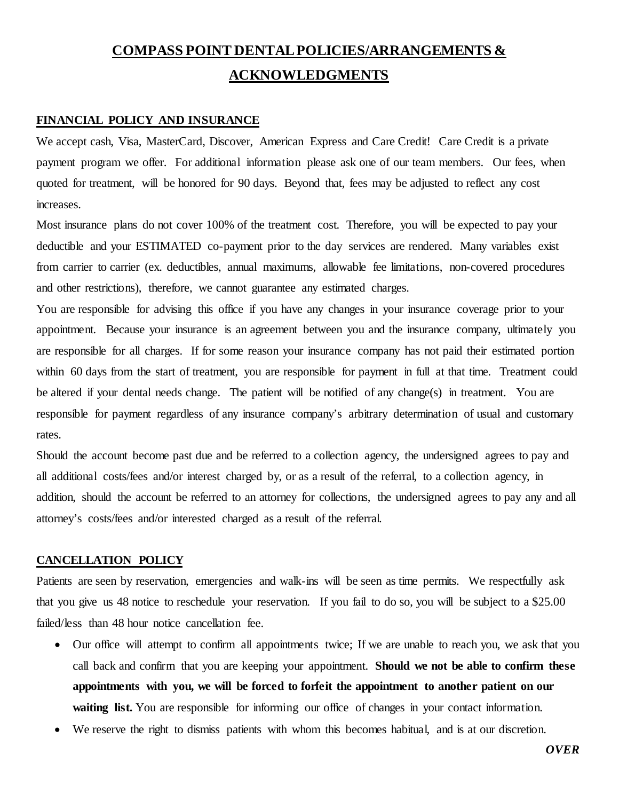# **COMPASS POINT DENTAL POLICIES/ARRANGEMENTS & ACKNOWLEDGMENTS**

# **FINANCIAL POLICY AND INSURANCE**

We accept cash, Visa, MasterCard, Discover, American Express and Care Credit! Care Credit is a private payment program we offer. For additional information please ask one of our team members. Our fees, when quoted for treatment, will be honored for 90 days. Beyond that, fees may be adjusted to reflect any cost increases.

Most insurance plans do not cover 100% of the treatment cost. Therefore, you will be expected to pay your deductible and your ESTIMATED co-payment prior to the day services are rendered. Many variables exist from carrier to carrier (ex. deductibles, annual maximums, allowable fee limitations, non-covered procedures and other restrictions), therefore, we cannot guarantee any estimated charges.

You are responsible for advising this office if you have any changes in your insurance coverage prior to your appointment. Because your insurance is an agreement between you and the insurance company, ultimately you are responsible for all charges. If for some reason your insurance company has not paid their estimated portion within 60 days from the start of treatment, you are responsible for payment in full at that time. Treatment could be altered if your dental needs change. The patient will be notified of any change(s) in treatment. You are responsible for payment regardless of any insurance company's arbitrary determination of usual and customary rates.

Should the account become past due and be referred to a collection agency, the undersigned agrees to pay and all additional costs/fees and/or interest charged by, or as a result of the referral, to a collection agency, in addition, should the account be referred to an attorney for collections, the undersigned agrees to pay any and all attorney's costs/fees and/or interested charged as a result of the referral.

#### **CANCELLATION POLICY**

Patients are seen by reservation, emergencies and walk-ins will be seen as time permits. We respectfully ask that you give us 48 notice to reschedule your reservation. If you fail to do so, you will be subject to a \$25.00 failed/less than 48 hour notice cancellation fee.

- Our office will attempt to confirm all appointments twice; If we are unable to reach you, we ask that you call back and confirm that you are keeping your appointment. **Should we not be able to confirm these appointments with you, we will be forced to forfeit the appointment to another patient on our**  waiting list. You are responsible for informing our office of changes in your contact information.
- We reserve the right to dismiss patients with whom this becomes habitual, and is at our discretion.